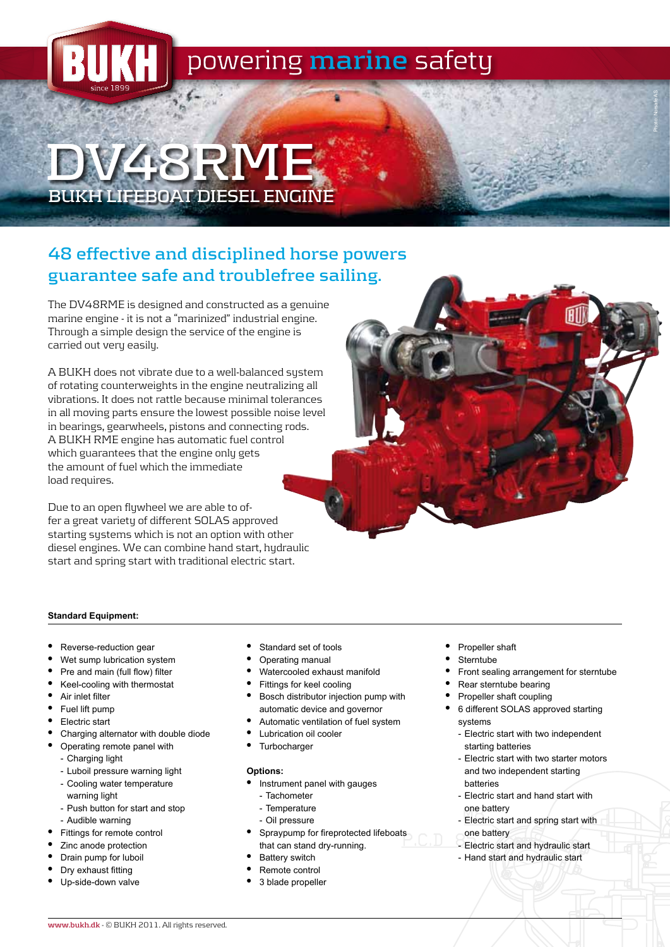

# **DV48RME BUKH LIFEBOAT DIESEL ENGINE**

## **48 effective and disciplined horse powers guarantee safe and troublefree sailing.**

The DV48RME is designed and constructed as a genuine marine engine - it is not a "marinized" industrial engine. Through a simple design the service of the engine is carried out very easily.

A BUKH does not vibrate due to a well-balanced system of rotating counterweights in the engine neutralizing all vibrations. It does not rattle because minimal tolerances in all moving parts ensure the lowest possible noise level in bearings, gearwheels, pistons and connecting rods. A BUKH RME engine has automatic fuel control which guarantees that the engine only gets the amount of fuel which the immediate load requires.

Due to an open flywheel we are able to offer a great variety of different SOLAS approved starting systems which is not an option with other diesel engines. We can combine hand start, hydraulic start and spring start with traditional electric start.

#### **Standard Equipment:**

- Reverse-reduction gear
- Wet sump lubrication system
- Pre and main (full flow) filter
- • Keel-cooling with thermostat
- Air inlet filter
- Fuel lift pump
- Electric start
- Charging alternator with double diode
- • Operating remote panel with
	- Charging light
	- Luboil pressure warning light
	- Cooling water temperature warning light
	- Push button for start and stop
	- Audible warning
- Fittings for remote control
- Zinc anode protection
- Drain pump for luboil
- Dry exhaust fitting Up-side-down valve
- Standard set of tools
- Operating manual
- Watercooled exhaust manifold
- Fittings for keel cooling
- Bosch distributor injection pump with automatic device and governor
- Automatic ventilation of fuel system
- **Lubrication oil cooler**
- **Turbocharger**

#### **Options:**

- Instrument panel with gauges
- Tachometer
- Temperature
- Oil pressure
- Spraypump for fireprotected lifeboats that can stand dry-running.
- **Battery switch**
- Remote control
- 3 blade propeller
- Propeller shaft
- **Sterntube**
- Front sealing arrangement for sterntube

Photo: Norsafe AS

- Rear sterntube bearing
- Propeller shaft coupling
- • 6 different SOLAS approved starting systems
	- Electric start with two independent starting batteries
	- Electric start with two starter motors and two independent starting batteries
	- Electric start and hand start with one battery
	- Electric start and spring start with one battery
- Electric start and hydraulic start
- Hand start and hydraulic start